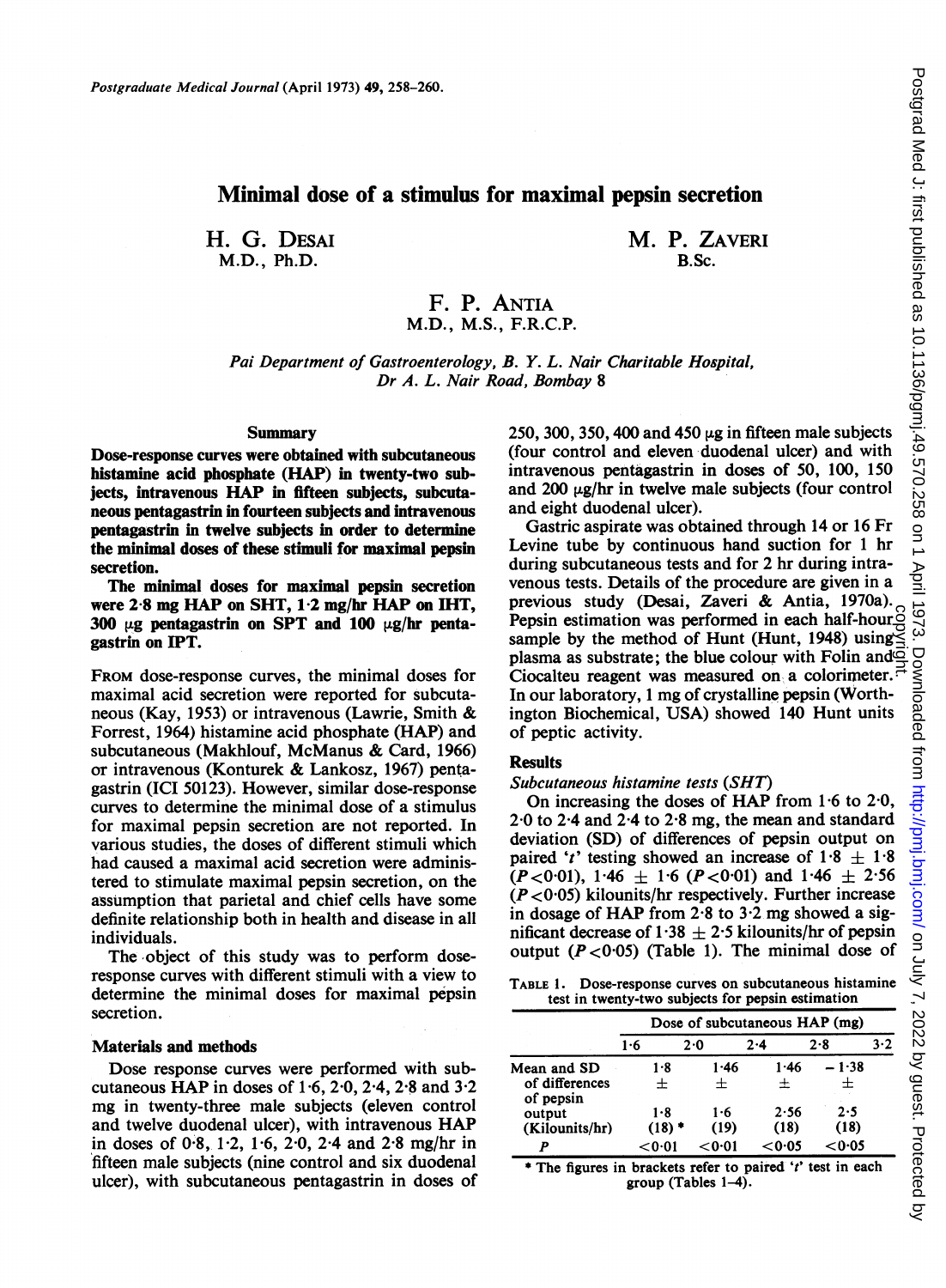# Minimal dose of a stimulus for maximal pepsin secretion

H. G. DESAI M.D., Ph.D.

M. P. ZAVERI B.Sc.

## F. P. ANTIA M.D., M.S., F.R.C.P.

Pai Department of Gastroenterology, B. Y. L. Nair Charitable Hospital, Dr A. L. Nair Road, Bombay 8

### Summary

Dose-response curves were obtained with subcutaneous histamine acid phosphate (HAP) in twenty-two subjects, intravenous HAP in fifteen subjects, subcutaneous pentagastrin in fourteen subjects and intravenous pentagastrin in twelve subjects in order to determine the minimal doses of these stimuli for maximal pepsin secretion.

The minimal doses for maximal pepsin secretion were 2-8 mg HAP on SHT, 1-2 mg/hr HAP on IHT, 300  $\mu$ g pentagastrin on SPT and 100  $\mu$ g/hr pentagastrin on IPT.

FROM dose-response curves, the minimal doses for maximal acid secretion were reported for subcutaneous (Kay, 1953) or intravenous (Lawrie, Smith & Forrest, 1964) histamine acid phosphate (HAP) and subcutaneous (Makhlouf, McManus & Card, 1966) or intravenous (Konturek & Lankosz, 1967) pentagastrin (ICI 50123). However, similar dose-response curves to determine the minimal dose of a stimulus for maximal pepsin secretion are not reported. In various studies, the doses of different stimuli which had caused a maximal acid secretion were administered to stimulate maximal pepsin secretion, on the assumption that parietal and chief cells have some definite relationship both in health and disease in all individuals.

The object of this study was to perform doseresponse curves with different stimuli with a view to determine the minimal doses for maximal pepsin secretion.

#### Materials and methods

Dose response curves were performed with subcutaneous HAP in doses of  $1.6$ ,  $2.0$ ,  $2.4$ ,  $2.8$  and  $3.2$ mg in twenty-three male subjects (eleven control and twelve duodenal ulcer), with intravenous HAP in doses of 0'8, 1-2, 1-6, 2-0, 2-4 and 2-8 mg/hr in fifteen male subjects (nine control and six duodenal ulcer), with subcutaneous pentagastrin in doses of 250, 300, 350, 400 and 450  $\mu$ g in fifteen male subjects (four control and eleven duodenal ulcer) and with intravenous pentagastrin in doses of 50, 100, 150 and 200  $\mu$ g/hr in twelve male subjects (four control and eight duodenal ulcer).

Gastric aspirate was obtained through 14 or 16 Fr Levine tube by continuous hand suction for <sup>1</sup> hr during subcutaneous tests and for 2 hr during intravenous tests. Details of the procedure are given in a previous study (Desai, Zaveri & Antia, 1970a). Pepsin estimation was performed in each half-hour  $\frac{S}{S}$ <br>sample by the method of Hunt (Hunt, 1948) using  $\leq$ <br>plasma as substrate; the blue colour with Folin and  $\frac{S}{S}$ sample by the method of Hunt (Hunt, 1948) using plasma as substrate; the blue colour with Folin and  $\Phi$ Ciocalteu reagent was measured on a colorimeter.  $\vec{r}$ In our laboratory, <sup>1</sup> mg of crystalline pepsin (Worthington Biochemical, USA) showed 140 Hunt units of peptic activity.

### **Results**

### Subcutaneous histamine tests (SHT)

On increasing the doses of HAP from 1-6 to 2-0, 2-0 to 2-4 and 2-4 to 2-8 mg, the mean and standard deviation (SD) of differences of pepsin output on paired 't' testing showed an increase of  $1.8 \pm 1.8$  $(P<0.01)$ , 1.46  $\pm$  1.6 (P < 0.01) and 1.46  $\pm$  2.56  $(P<0.05)$  kilounits/hr respectively. Further increase in dosage of HAP from  $2.8$  to  $3.2$  mg showed a significant decrease of 1.38  $\pm$  2.5 kilounits/hr of pepsin output  $(P < 0.05)$  (Table 1). The minimal dose of

TABLE 1. Dose-response curves on subcutaneous histamine test in twenty-two subjects for pepsin estimation

|                             | Dose of subcutaneous HAP (mg) |         |        |        |     |  |  |  |  |  |  |  |
|-----------------------------|-------------------------------|---------|--------|--------|-----|--|--|--|--|--|--|--|
|                             | 1.6                           | $2 - 0$ | 2.4    | 2.8    | 3.2 |  |  |  |  |  |  |  |
| Mean and SD                 | 1.8                           | 1.46    | 1.46   | – 1·38 |     |  |  |  |  |  |  |  |
| of differences<br>of pepsin | 士                             | $\div$  | 士      | 士      |     |  |  |  |  |  |  |  |
| output                      | 1.8                           | 1.6     | 2.56   | 2.5    |     |  |  |  |  |  |  |  |
| (Kilounits/hr)              | $(18)$ *                      | (19)    | (18)   | (18)   |     |  |  |  |  |  |  |  |
| р                           | < 0.01                        | < 0.01  | < 0.05 | < 0.05 |     |  |  |  |  |  |  |  |

\* The figures in brackets refer to paired 't' test in each group (Tables  $1-4$ ).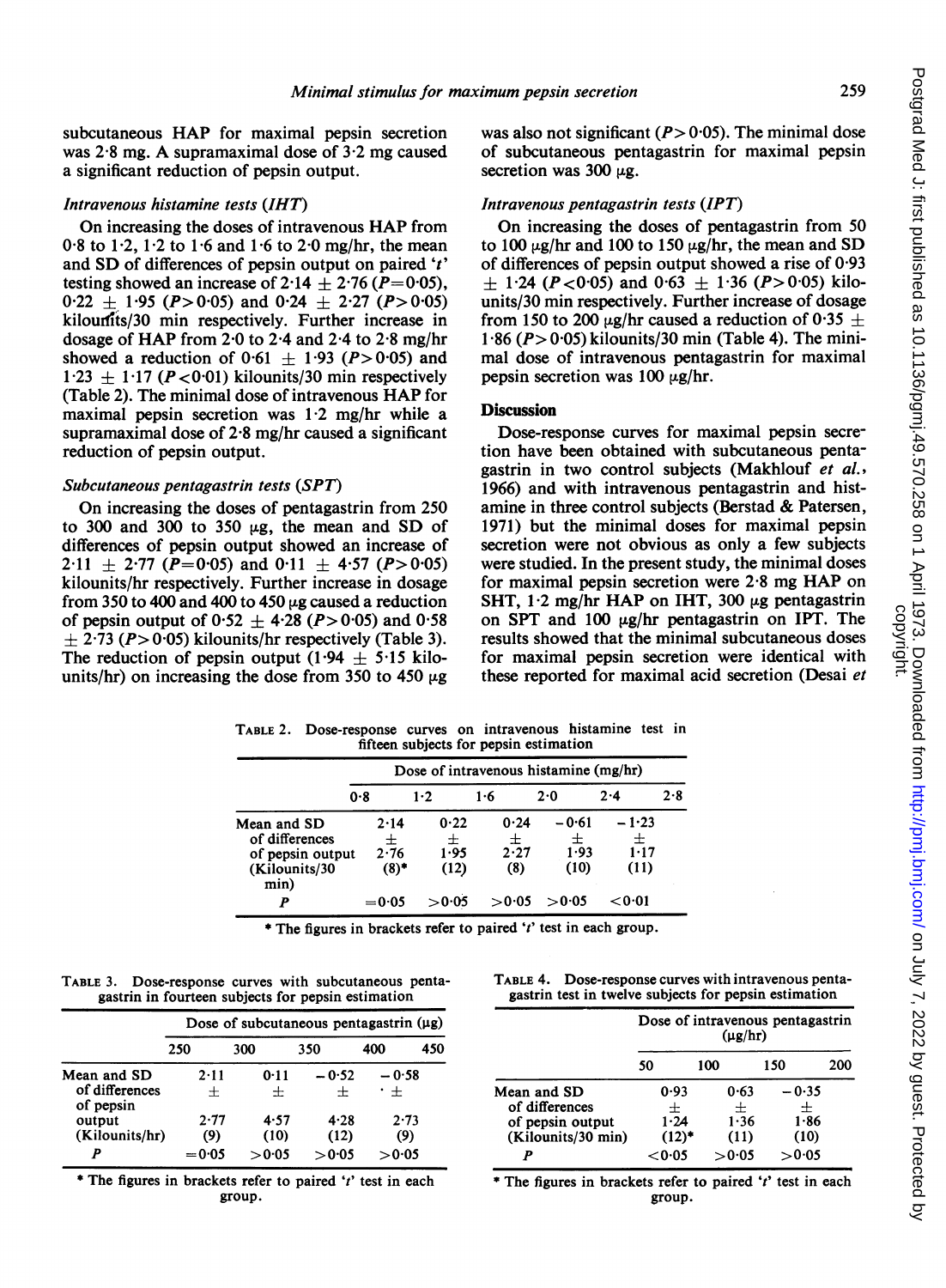subcutaneous HAP for maximal pepsin secretion was  $2.8$  mg. A supramaximal dose of  $3.2$  mg caused a significant reduction of pepsin output.

### Intravenous histamine tests (IHT)

On increasing the doses of intravenous HAP from 0.8 to 1.2, 1.2 to 1.6 and 1.6 to 2.0 mg/hr, the mean and SD of differences of pepsin output on paired 't' testing showed an increase of 2.14  $\pm$  2.76 (P=0.05),  $0.22 \pm 1.95$  (P > 0.05) and  $0.24 \pm 2.27$  (P > 0.05) kilourits/30 min respectively. Further increase in dosage of HAP from 2-0 to 2-4 and 2-4 to 2-8 mg/hr showed a reduction of  $0.61 \pm 1.93$  (P > 0.05) and  $1.23 \pm 1.17$  (P < 0.01) kilounits/30 min respectively (Table 2). The minimal dose of intravenous HAP for maximal pepsin secretion was  $1.2 \text{ mg/hr}$  while a supramaximal dose of 2-8 mg/hr caused a significant reduction of pepsin output.

### Subcutaneous pentagastrin tests (SPT)

On increasing the doses of pentagastrin from 250 to 300 and 300 to 350  $\mu$ g, the mean and SD of differences of pepsin output showed an increase of 2.11  $\pm$  2.77 (P=0.05) and 0.11  $\pm$  4.57 (P>0.05) kilounits/hr respectively. Further increase in dosage from 350 to 400 and 400 to 450  $\mu$ g caused a reduction of pepsin output of  $0.52 \pm 4.28$  (P > 0.05) and 0.58  $\pm$  2.73 (P> 0.05) kilounits/hr respectively (Table 3). The reduction of pepsin output  $(1.94 \pm 5.15 \text{ kilo-}$ units/hr) on increasing the dose from 350 to 450  $\mu$ g

was also not significant  $(P> 0.05)$ . The minimal dose of subcutaneous pentagastrin for maximal pepsin secretion was 300  $\mu$ g.

### Intravenous pentagastrin tests (IPT)

On increasing the doses of pentagastrin from 50 to 100  $\mu$ g/hr and 100 to 150  $\mu$ g/hr, the mean and SD of differences of pepsin output showed a rise of  $0.93$  $\pm$  1.24 (P < 0.05) and 0.63  $\pm$  1.36 (P > 0.05) kilounits/30 min respectively. Further increase of dosage from 150 to 200  $\mu$ g/hr caused a reduction of 0.35  $\pm$  $1.86$  ( $P > 0.05$ ) kilounits/30 min (Table 4). The minimal dose of intravenous pentagastrin for maximal pepsin secretion was  $100 \mu g/hr$ .

## **Discussion**

Dose-response curves for maximal pepsin secretion have been obtained with subcutaneous pentagastrin in two control subjects (Makhlouf et al., 1966) and with intravenous pentagastrin and histamine in three control subjects (Berstad & Patersen, 1971) but the minimal doses for maximal pepsin secretion were not obvious as only a few subjects were studied. In the present study, the minimal doses for maximal pepsin secretion were 2-8 mg HAP on SHT,  $1.2 \text{ mg/hr HAP}$  on IHT,  $300 \mu$ g pentagastrin on SPT and 100  $\mu$ g/hr pentagastrin on IPT. The results showed that the minimal subcutaneous doses for maximal pepsin secretion were identical with these reported for maximal acid secretion (Desai et

| fifteen subjects for pepsin estimation                                     |                                       |                           |                          |                              |                                  |     |  |  |  |  |  |
|----------------------------------------------------------------------------|---------------------------------------|---------------------------|--------------------------|------------------------------|----------------------------------|-----|--|--|--|--|--|
|                                                                            | Dose of intravenous histamine (mg/hr) |                           |                          |                              |                                  |     |  |  |  |  |  |
|                                                                            | 0.8                                   | 1.2                       | 1.6                      | 2.0                          | 2.4                              | 2.8 |  |  |  |  |  |
| Mean and SD<br>of differences<br>of pepsin output<br>(Kilounits/30<br>min) | 2.14<br>士<br>2.76<br>$(8)$ *          | 0.22<br>士<br>1.95<br>(12) | 0.24<br>士<br>2.27<br>(8) | $-0.61$<br>士<br>1.93<br>(10) | $-1.23$<br>士<br>$1 - 17$<br>(11) |     |  |  |  |  |  |
| P                                                                          | $= 0.05$                              | > 0.05                    | > 0.05                   | > 0.05                       | < 0.01                           |     |  |  |  |  |  |

TABLE 2. Dose-response curves on intravenous histamine test in

\* The figures in brackets refer to paired 't' test in each group.

| TABLE 3. Dose-response curves with subcutaneous penta- |  |  |
|--------------------------------------------------------|--|--|
| gastrin in fourteen subjects for pepsin estimation     |  |  |

|                                            |             | Dose of subcutaneous pentagastrin $(\mu g)$ |                |                   |                     |     |  |  |  |  |  |  |  |
|--------------------------------------------|-------------|---------------------------------------------|----------------|-------------------|---------------------|-----|--|--|--|--|--|--|--|
|                                            | 250         | 300                                         |                | 350               | 400                 | 450 |  |  |  |  |  |  |  |
| Mean and SD<br>of differences<br>of pepsin | 2.11<br>土   |                                             | 0.11<br>$\div$ | $-0.52$<br>$\div$ | — 0∙58<br>$\cdot$ + |     |  |  |  |  |  |  |  |
| output<br>(Kilounits/hr)                   | 2.77<br>(9) |                                             | 4.57<br>(10)   | 4.28<br>(12)      | 2.73<br>(9)         |     |  |  |  |  |  |  |  |
| P                                          | $= 0.05$    |                                             | > 0.05         | > 0.05            | >0.05               |     |  |  |  |  |  |  |  |

\* The figures in brackets refer to paired 't' test in each group.

| TABLE 4. | Dose-response curves with intravenous penta-          |  |
|----------|-------------------------------------------------------|--|
|          | gastrin test in twelve subjects for pepsin estimation |  |

|                                                                         | Dose of intravenous pentagastrin<br>$(\mu g/hr)$ |        |                               |                             |  |  |  |  |  |  |
|-------------------------------------------------------------------------|--------------------------------------------------|--------|-------------------------------|-----------------------------|--|--|--|--|--|--|
|                                                                         | 50                                               | 100    | 150                           | 200                         |  |  |  |  |  |  |
| Mean and SD<br>of differences<br>of pepsin output<br>(Kilounits/30 min) | 0.93<br>士<br>1.24<br>$(12)^*$                    |        | 0.63<br>$\pm$<br>1.36<br>(11) | - 0-35<br>士<br>1.86<br>(10) |  |  |  |  |  |  |
| P                                                                       | < 0.05                                           | > 0.05 |                               | >0.05                       |  |  |  |  |  |  |

\* The figures in brackets refer to paired ' $t$ ' test in each group.